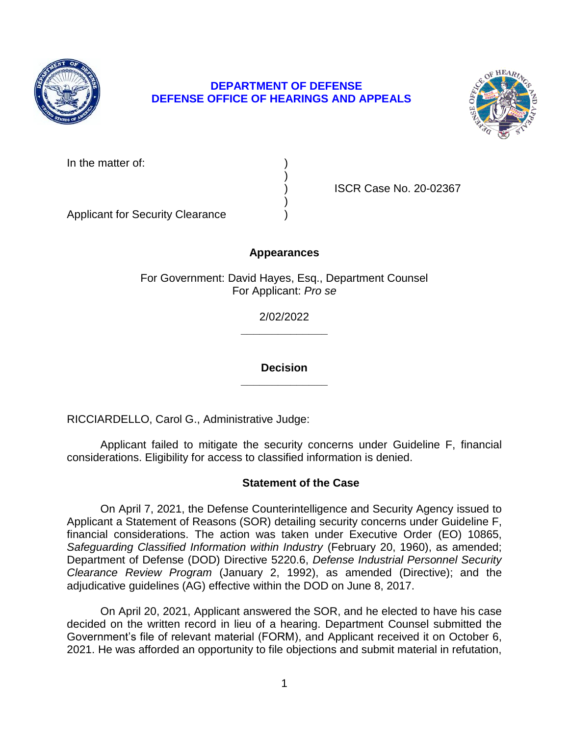

# **DEPARTMENT OF DEFENSE DEFENSE OFFICE OF HEARINGS AND APPEALS**



| In the matter of: |  |
|-------------------|--|
|-------------------|--|

) ISCR Case No. 20-02367

Applicant for Security Clearance )

## **Appearances**

)

)

For Government: David Hayes, Esq., Department Counsel For Applicant: *Pro se* 

> **\_\_\_\_\_\_\_\_\_\_\_\_\_\_**  2/02/2022

> **\_\_\_\_\_\_\_\_\_\_\_\_\_\_ Decision**

RICCIARDELLO, Carol G., Administrative Judge:

 Applicant failed to mitigate the security concerns under Guideline F, financial considerations. Eligibility for access to classified information is denied.

## **Statement of the Case**

 On April 7, 2021, the Defense Counterintelligence and Security Agency issued to Applicant a Statement of Reasons (SOR) detailing security concerns under Guideline F, financial considerations. The action was taken under Executive Order (EO) 10865, Safeguarding Classified Information within Industry (February 20, 1960), as amended; Department of Defense (DOD) Directive 5220.6, *Defense Industrial Personnel Security Clearance Review Program* (January 2, 1992), as amended (Directive); and the adjudicative guidelines (AG) effective within the DOD on June 8, 2017.

 On April 20, 2021, Applicant answered the SOR, and he elected to have his case decided on the written record in lieu of a hearing. Department Counsel submitted the Government's file of relevant material (FORM), and Applicant received it on October 6, 2021. He was afforded an opportunity to file objections and submit material in refutation,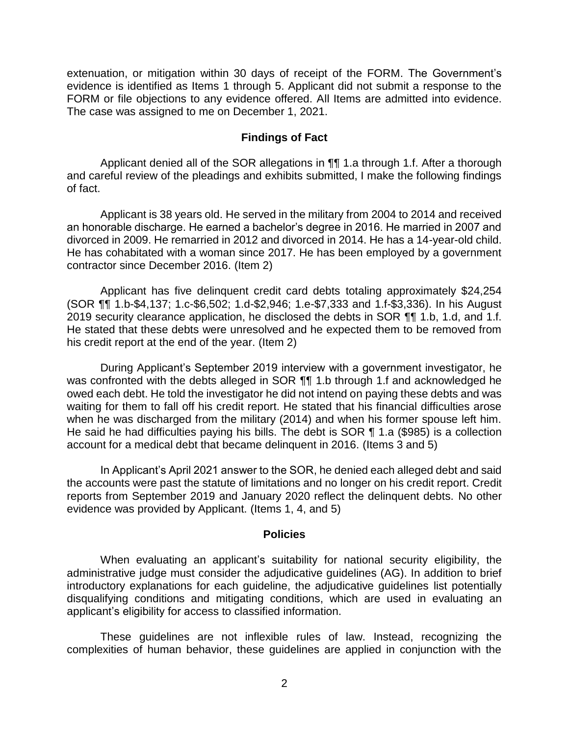extenuation, or mitigation within 30 days of receipt of the FORM. The Government's evidence is identified as Items 1 through 5. Applicant did not submit a response to the FORM or file objections to any evidence offered. All Items are admitted into evidence. The case was assigned to me on December 1, 2021.

#### **Findings of Fact**

 Applicant denied all of the SOR allegations in ¶¶ 1.a through 1.f. After a thorough and careful review of the pleadings and exhibits submitted, I make the following findings of fact.

Applicant is 38 years old. He served in the military from 2004 to 2014 and received an honorable discharge. He earned a bachelor's degree in 2016. He married in 2007 and divorced in 2009. He remarried in 2012 and divorced in 2014. He has a 14-year-old child. He has cohabitated with a woman since 2017. He has been employed by a government contractor since December 2016. (Item 2)

 Applicant has five delinquent credit card debts totaling approximately \$24,254 (SOR ¶¶ 1.b-\$4,137; 1.c-\$6,502; 1.d-\$2,946; 1.e-\$7,333 and 1.f-\$3,336). In his August 2019 security clearance application, he disclosed the debts in SOR ¶¶ 1.b, 1.d, and 1.f. He stated that these debts were unresolved and he expected them to be removed from his credit report at the end of the year. (Item 2)

 During Applicant's September 2019 interview with a government investigator, he was confronted with the debts alleged in SOR  $\P$  $\P$  1.b through 1.f and acknowledged he owed each debt. He told the investigator he did not intend on paying these debts and was waiting for them to fall off his credit report. He stated that his financial difficulties arose when he was discharged from the military (2014) and when his former spouse left him. He said he had difficulties paying his bills. The debt is SOR ¶ 1.a (\$985) is a collection account for a medical debt that became delinquent in 2016. (Items 3 and 5)

 In Applicant's April 2021 answer to the SOR, he denied each alleged debt and said the accounts were past the statute of limitations and no longer on his credit report. Credit reports from September 2019 and January 2020 reflect the delinquent debts. No other evidence was provided by Applicant. (Items 1, 4, and 5)

#### **Policies**

 administrative judge must consider the adjudicative guidelines (AG). In addition to brief introductory explanations for each guideline, the adjudicative guidelines list potentially disqualifying conditions and mitigating conditions, which are used in evaluating an When evaluating an applicant's suitability for national security eligibility, the applicant's eligibility for access to classified information.

 These guidelines are not inflexible rules of law. Instead, recognizing the complexities of human behavior, these guidelines are applied in conjunction with the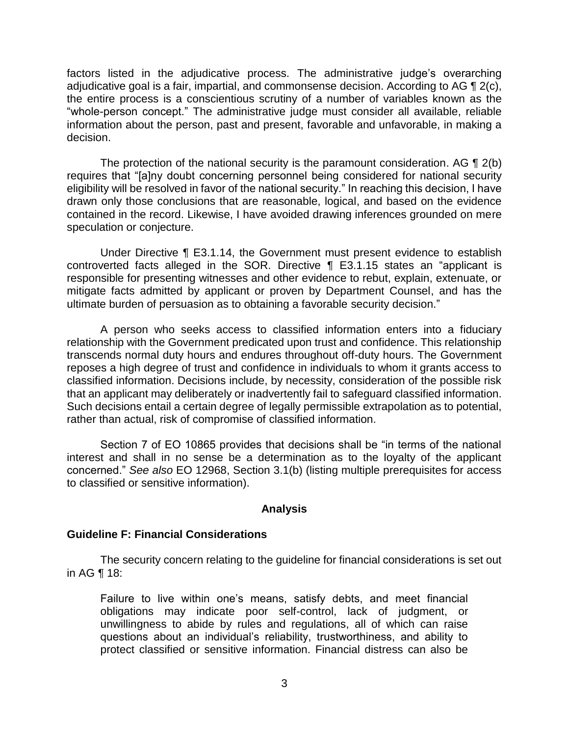factors listed in the adjudicative process. The administrative judge's overarching adjudicative goal is a fair, impartial, and commonsense decision. According to AG  $\P$  2(c), the entire process is a conscientious scrutiny of a number of variables known as the "whole-person concept." The administrative judge must consider all available, reliable information about the person, past and present, favorable and unfavorable, in making a decision.

The protection of the national security is the paramount consideration. AG  $\P$  2(b) eligibility will be resolved in favor of the national security." In reaching this decision, I have drawn only those conclusions that are reasonable, logical, and based on the evidence contained in the record. Likewise, I have avoided drawing inferences grounded on mere requires that "[a]ny doubt concerning personnel being considered for national security speculation or conjecture.

 Under Directive ¶ E3.1.14, the Government must present evidence to establish controverted facts alleged in the SOR. Directive ¶ E3.1.15 states an "applicant is responsible for presenting witnesses and other evidence to rebut, explain, extenuate, or mitigate facts admitted by applicant or proven by Department Counsel, and has the ultimate burden of persuasion as to obtaining a favorable security decision."

 A person who seeks access to classified information enters into a fiduciary relationship with the Government predicated upon trust and confidence. This relationship transcends normal duty hours and endures throughout off-duty hours. The Government reposes a high degree of trust and confidence in individuals to whom it grants access to classified information. Decisions include, by necessity, consideration of the possible risk that an applicant may deliberately or inadvertently fail to safeguard classified information. Such decisions entail a certain degree of legally permissible extrapolation as to potential, rather than actual, risk of compromise of classified information.

 Section 7 of EO 10865 provides that decisions shall be "in terms of the national interest and shall in no sense be a determination as to the loyalty of the applicant concerned." *See also* EO 12968, Section 3.1(b) (listing multiple prerequisites for access to classified or sensitive information).

#### **Analysis**

## **Guideline F: Financial Considerations**

 The security concern relating to the guideline for financial considerations is set out in AG ¶ 18:

Failure to live within one's means, satisfy debts, and meet financial obligations may indicate poor self-control, lack of judgment, or unwillingness to abide by rules and regulations, all of which can raise questions about an individual's reliability, trustworthiness, and ability to protect classified or sensitive information. Financial distress can also be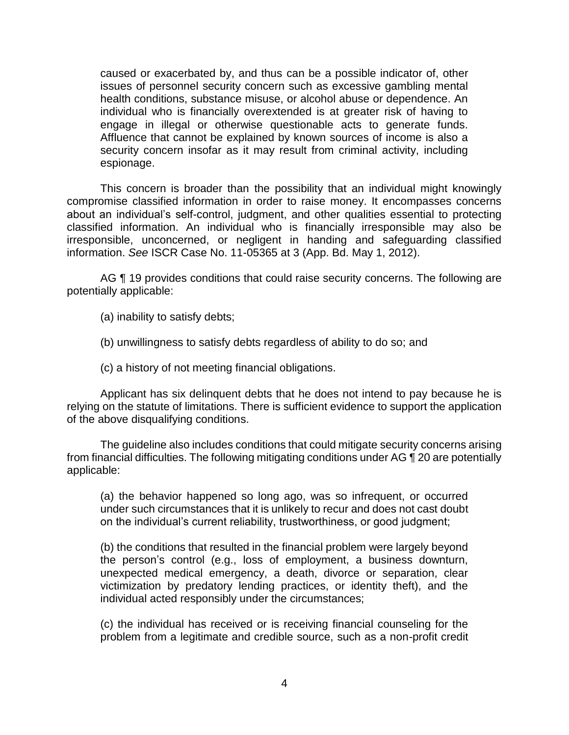caused or exacerbated by, and thus can be a possible indicator of, other issues of personnel security concern such as excessive gambling mental health conditions, substance misuse, or alcohol abuse or dependence. An individual who is financially overextended is at greater risk of having to engage in illegal or otherwise questionable acts to generate funds. Affluence that cannot be explained by known sources of income is also a security concern insofar as it may result from criminal activity, including espionage.

 This concern is broader than the possibility that an individual might knowingly compromise classified information in order to raise money. It encompasses concerns about an individual's self-control, judgment, and other qualities essential to protecting classified information. An individual who is financially irresponsible may also be irresponsible, unconcerned, or negligent in handing and safeguarding classified information. *See* ISCR Case No. 11-05365 at 3 (App. Bd. May 1, 2012).

AG ¶ 19 provides conditions that could raise security concerns. The following are potentially applicable:

(a) inability to satisfy debts;

(b) unwillingness to satisfy debts regardless of ability to do so; and

(c) a history of not meeting financial obligations.

 Applicant has six delinquent debts that he does not intend to pay because he is relying on the statute of limitations. There is sufficient evidence to support the application of the above disqualifying conditions.

 The guideline also includes conditions that could mitigate security concerns arising from financial difficulties. The following mitigating conditions under AG ¶ 20 are potentially applicable:

(a) the behavior happened so long ago, was so infrequent, or occurred under such circumstances that it is unlikely to recur and does not cast doubt on the individual's current reliability, trustworthiness, or good judgment;

(b) the conditions that resulted in the financial problem were largely beyond the person's control (e.g., loss of employment, a business downturn, unexpected medical emergency, a death, divorce or separation, clear victimization by predatory lending practices, or identity theft), and the individual acted responsibly under the circumstances;

 (c) the individual has received or is receiving financial counseling for the problem from a legitimate and credible source, such as a non-profit credit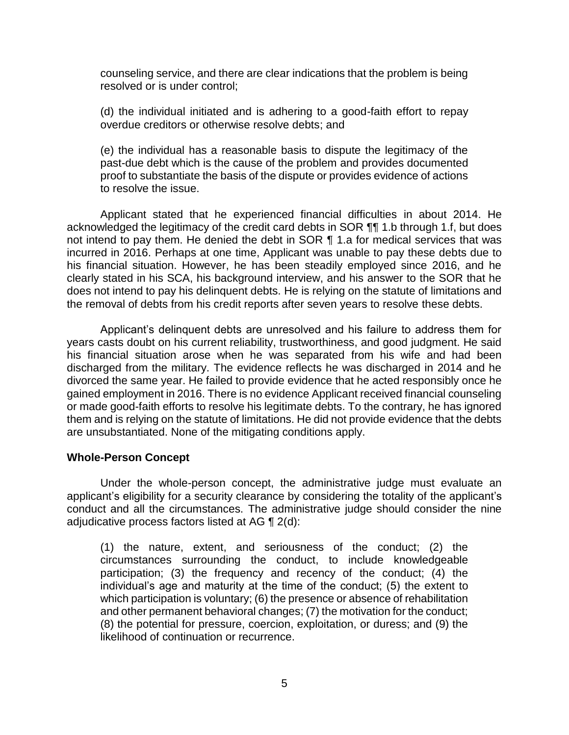counseling service, and there are clear indications that the problem is being resolved or is under control;

(d) the individual initiated and is adhering to a good-faith effort to repay overdue creditors or otherwise resolve debts; and

 (e) the individual has a reasonable basis to dispute the legitimacy of the proof to substantiate the basis of the dispute or provides evidence of actions past-due debt which is the cause of the problem and provides documented to resolve the issue.

 Applicant stated that he experienced financial difficulties in about 2014. He acknowledged the legitimacy of the credit card debts in SOR ¶¶ 1.b through 1.f, but does not intend to pay them. He denied the debt in SOR ¶ 1.a for medical services that was incurred in 2016. Perhaps at one time, Applicant was unable to pay these debts due to his financial situation. However, he has been steadily employed since 2016, and he clearly stated in his SCA, his background interview, and his answer to the SOR that he does not intend to pay his delinquent debts. He is relying on the statute of limitations and the removal of debts from his credit reports after seven years to resolve these debts.

 Applicant's delinquent debts are unresolved and his failure to address them for years casts doubt on his current reliability, trustworthiness, and good judgment. He said his financial situation arose when he was separated from his wife and had been discharged from the military. The evidence reflects he was discharged in 2014 and he divorced the same year. He failed to provide evidence that he acted responsibly once he gained employment in 2016. There is no evidence Applicant received financial counseling or made good-faith efforts to resolve his legitimate debts. To the contrary, he has ignored them and is relying on the statute of limitations. He did not provide evidence that the debts are unsubstantiated. None of the mitigating conditions apply.

#### **Whole-Person Concept**

 Under the whole-person concept, the administrative judge must evaluate an applicant's eligibility for a security clearance by considering the totality of the applicant's conduct and all the circumstances. The administrative judge should consider the nine adjudicative process factors listed at AG  $\P$  2(d):

 (1) the nature, extent, and seriousness of the conduct; (2) the circumstances surrounding the conduct, to include knowledgeable participation; (3) the frequency and recency of the conduct; (4) the individual's age and maturity at the time of the conduct; (5) the extent to which participation is voluntary; (6) the presence or absence of rehabilitation and other permanent behavioral changes; (7) the motivation for the conduct; (8) the potential for pressure, coercion, exploitation, or duress; and (9) the likelihood of continuation or recurrence.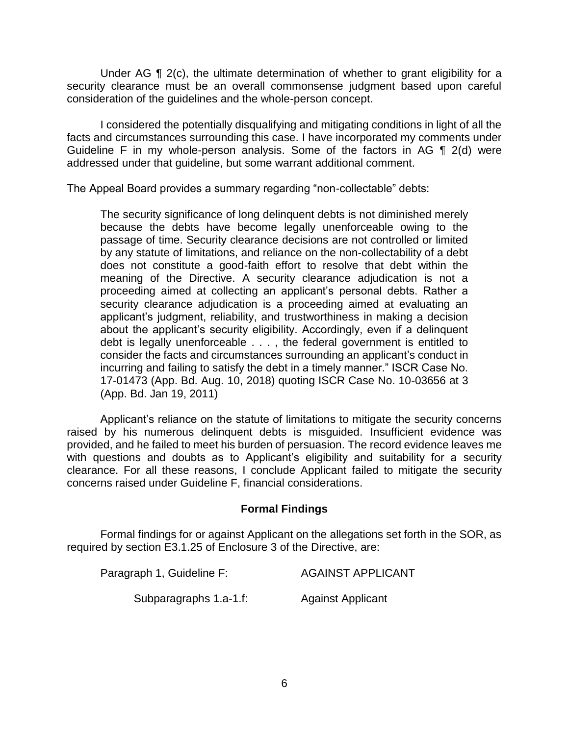Under AG  $\P$  2(c), the ultimate determination of whether to grant eligibility for a security clearance must be an overall commonsense judgment based upon careful consideration of the guidelines and the whole-person concept.

 I considered the potentially disqualifying and mitigating conditions in light of all the Guideline F in my whole-person analysis. Some of the factors in AG  $\P$  2(d) were facts and circumstances surrounding this case. I have incorporated my comments under addressed under that guideline, but some warrant additional comment.

The Appeal Board provides a summary regarding "non-collectable" debts:

The security significance of long delinquent debts is not diminished merely because the debts have become legally unenforceable owing to the passage of time. Security clearance decisions are not controlled or limited by any statute of limitations, and reliance on the non-collectability of a debt does not constitute a good-faith effort to resolve that debt within the meaning of the Directive. A security clearance adjudication is not a proceeding aimed at collecting an applicant's personal debts. Rather a security clearance adjudication is a proceeding aimed at evaluating an applicant's judgment, reliability, and trustworthiness in making a decision about the applicant's security eligibility. Accordingly, even if a delinquent debt is legally unenforceable . . . , the federal government is entitled to consider the facts and circumstances surrounding an applicant's conduct in incurring and failing to satisfy the debt in a timely manner." ISCR Case No. 17-01473 (App. Bd. Aug. 10, 2018) quoting ISCR Case No. 10-03656 at 3 (App. Bd. Jan 19, 2011)

 Applicant's reliance on the statute of limitations to mitigate the security concerns raised by his numerous delinquent debts is misguided. Insufficient evidence was provided, and he failed to meet his burden of persuasion. The record evidence leaves me with questions and doubts as to Applicant's eligibility and suitability for a security clearance. For all these reasons, I conclude Applicant failed to mitigate the security concerns raised under Guideline F, financial considerations.

## **Formal Findings**

 Formal findings for or against Applicant on the allegations set forth in the SOR, as required by section E3.1.25 of Enclosure 3 of the Directive, are:

| Paragraph 1, Guideline F: | <b>AGAINST APPLICANT</b> |
|---------------------------|--------------------------|
| Subparagraphs 1.a-1.f:    | <b>Against Applicant</b> |